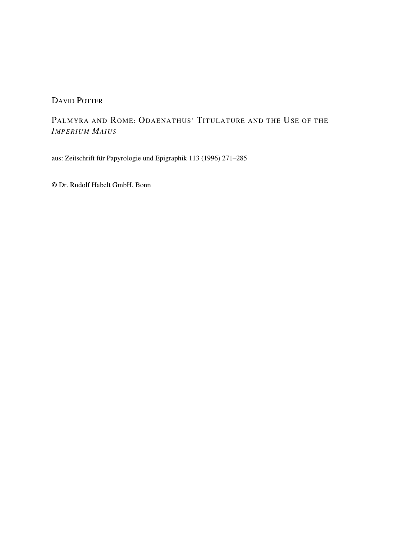# DAVID POTTER

# PALMYRA AND ROME: ODAENATHUS' TITULATURE AND THE USE OF THE *IMPERIUM MAIUS*

aus: Zeitschrift für Papyrologie und Epigraphik 113 (1996) 271–285

© Dr. Rudolf Habelt GmbH, Bonn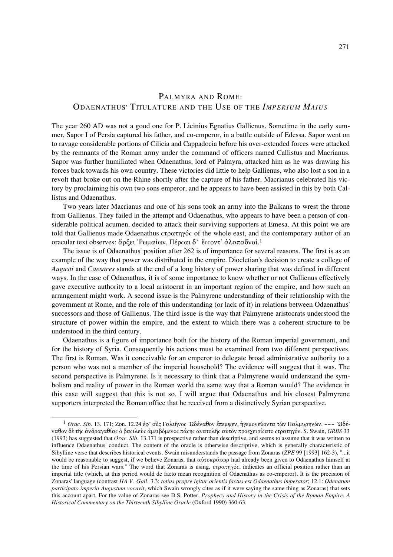## PALMYRA AND ROME: ODAENATHUS' TITULATURE AND THE USE OF THE *IMPERIUM MAIUS*

The year 260 AD was not a good one for P. Licinius Egnatius Gallienus. Sometime in the early summer, Sapor I of Persia captured his father, and co-emperor, in a battle outside of Edessa. Sapor went on to ravage considerable portions of Cilicia and Cappadocia before his over-extended forces were attacked by the remnants of the Roman army under the command of officers named Callistus and Macrianus. Sapor was further humiliated when Odaenathus, lord of Palmyra, attacked him as he was drawing his forces back towards his own country. These victories did little to help Gallienus, who also lost a son in a revolt that broke out on the Rhine shortly after the capture of his father. Macrianus celebrated his victory by proclaiming his own two sons emperor, and he appears to have been assisted in this by both Callistus and Odaenathus.

Two years later Macrianus and one of his sons took an army into the Balkans to wrest the throne from Gallienus. They failed in the attempt and Odaenathus, who appears to have been a person of considerable political acumen, decided to attack their surviving supporters at Emesa. At this point we are told that Gallienus made Odaenathus  $\epsilon \tau \rho \alpha \tau \eta \gamma \acute{o} \epsilon$  of the whole east, and the contemporary author of an oracular text observes: ἄρξει Ρωμαίων, Πέρται δ' ἔττοντ' άλαπαδνοί.<sup>1</sup>

The issue is of Odaenathus' position after 262 is of importance for several reasons. The first is as an example of the way that power was distributed in the empire. Diocletian's decision to create a college of *Augusti* and *Caesares* stands at the end of a long history of power sharing that was defined in different ways. In the case of Odaenathus, it is of some importance to know whether or not Gallienus effectively gave executive authority to a local aristocrat in an important region of the empire, and how such an arrangement might work. A second issue is the Palmyrene understanding of their relationship with the government at Rome, and the role of this understanding (or lack of it) in relations between Odaenathus' successors and those of Gallienus. The third issue is the way that Palmyrene aristocrats understood the structure of power within the empire, and the extent to which there was a coherent structure to be understood in the third century.

Odaenathus is a figure of importance both for the history of the Roman imperial government, and for the history of Syria. Consequently his actions must be examined from two different perspectives. The first is Roman. Was it conceivable for an emperor to delegate broad administrative authority to a person who was not a member of the imperial household? The evidence will suggest that it was. The second perspective is Palmyrene. Is it necessary to think that a Palmyrene would understand the symbolism and reality of power in the Roman world the same way that a Roman would? The evidence in this case will suggest that this is not so. I will argue that Odaenathus and his closest Palmyrene supporters interpreted the Roman office that he received from a distinctively Syrian perspective.

 $1$  Orac. Sib. 13. 171; Zon. 12.24 έφ' οῢς Γαλιῆνος 'Ωδέναθον ἔπεμψεν, ἡγεμονεύοντα τῶν Παλμυρηνῶν. --- 'Ωδέναθον δὲ τῆς ἀνδραγαθίας ὁ βαςιλεὺς ἀμειβόμενος πάςης ἀνατολῆς αὐτὸν προεχειρίςατο ςτρατηγόν. S. Swain, *GRBS* 33 (1993) has suggested that *Orac. Sib*. 13.171 is prospective rather than descriptive, and seems to assume that it was written to influence Odaenathus' conduct. The content of the oracle is otherwise descriptive, which is generally characteristic of Sibylline verse that describes historical events. Swain misunderstands the passage from Zonaras (*ZPE* 99 [1993] 162-3), "...it would be reasonable to suggest, if we believe Zonaras, that  $\alpha\dot{\alpha}\alpha\alpha\rho\dot{\alpha}\alpha\rho$  had already been given to Odaenathus himself at the time of his Persian wars." The word that Zonaras is using,  $\epsilon \tau p \alpha \tau \eta \gamma \acute{o} \epsilon$ , indicates an official position rather than an imperial title (which, at this period would de facto mean recognition of Odaenathus as co-emperor). It is the precision of Zonaras' language (contrast *HA V. Gall*. 3.3: *totius propre igitur orientis factus est Odaenathus imperator*; 12.1: *Odenatum participato imperio Augustum vocavit*, which Swain wrongly cites as if it were saying the same thing as Zonaras) that sets this account apart. For the value of Zonaras see D.S. Potter, *Prophecy and History in the Crisis of the Roman Empire. A Historical Commentary on the Thirteenth Sibylline Oracle* (Oxford 1990) 360-63.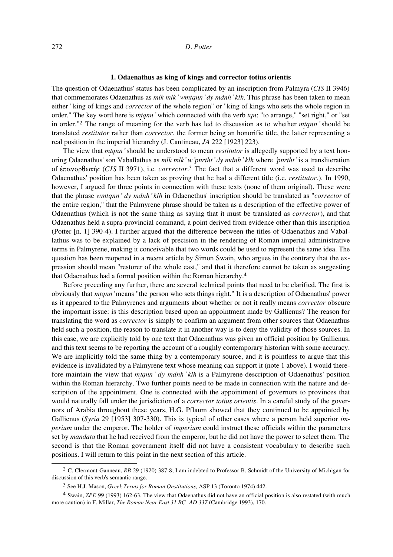#### **1. Odaenathus as king of kings and corrector totius orientis**

The question of Odaenathus' status has been complicated by an inscription from Palmyra (*CIS* II 3946) that commemorates Odaenathus as *mlk mlk* '*wmtqnn* '*dy mdnh* '*klh*. This phrase has been taken to mean either "king of kings and *corrector* of the whole region" or "king of kings who sets the whole region in order." The key word here is *mtqnn*' which connected with the verb *tqn*: "to arrange," "set right," or "set in order."<sup>2</sup> The range of meaning for the verb has led to discussion as to whether *mtqnn*'should be translated *restitutor* rather than *corrector*, the former being an honorific title, the latter representing a real position in the imperial hierarchy (J. Cantineau, *JA* 222 [1923] 223).

The view that *mtqnn*' should be understood to mean *restitutor* is allegedly supported by a text honoring Odaenathus' son Vaballathus as *mlk mlk' w'pnrtht' dy mdnh' klh* where '*pnrtht'* is a transliteration of επανορθωτής (CIS II 3971), i.e. *corrector*.<sup>3</sup> The fact that a different word was used to describe Odaenathus' position has been taken as proving that he had a different title (i.e. *restitutor.*). In 1990, however, I argued for three points in connection with these texts (none of them original). These were that the phrase *wmtqnn*<sup>*'*</sup> dy mdnh<sup>*'*</sup> *klh* in Odaenethus' inscription should be translated as "*corrector* of the entire region," that the Palmyrene phrase should be taken as a description of the effective power of Odaenathus (which is not the same thing as saying that it must be translated as *corrector*), and that Odaenathus held a supra-provincial command, a point derived from evidence other than this inscription (Potter [n. 1] 390-4). I further argued that the difference between the titles of Odaenathus and Vaballathus was to be explained by a lack of precision in the rendering of Roman imperial administrative terms in Palmyrene, making it conceivable that two words could be used to represent the same idea. The question has been reopened in a recent article by Simon Swain, who argues in the contrary that the expression should mean "restorer of the whole east," and that it therefore cannot be taken as suggesting that Odaenathus had a formal position within the Roman hierarchy.4

Before preceding any further, there are several technical points that need to be clarified. The first is obviously that *mtqnn* 'means "the person who sets things right." It is a description of Odaenathus' power as it appeared to the Palmyrenes and arguments about whether or not it really means *corrector* obscure the important issue: is this description based upon an appointment made by Gallienus? The reason for translating the word as *corrector* is simply to confirm an argument from other sources that Odaenathus held such a position, the reason to translate it in another way is to deny the validity of those sources. In this case, we are explicitly told by one text that Odaenathus was given an official position by Gallienus, and this text seems to be reporting the account of a roughly contemporary historian with some accuracy. We are implicitly told the same thing by a contemporary source, and it is pointless to argue that this evidence is invalidated by a Palmyrene text whose meaning can support it (note 1 above). I would therefore maintain the view that *mtqnn*' *dy mdnh*' *klh* is a Palmyrene description of Odaenathus' position within the Roman hierarchy. Two further points need to be made in connection with the nature and description of the appointment. One is connected with the appointment of governors to provinces that would naturally fall under the jurisdiction of a *corrector totius orientis*. In a careful study of the governors of Arabia throughout these years, H.G. Pflaum showed that they continued to be appointed by Gallienus (*Syria* 29 [1953] 307-330). This is typical of other cases where a person held superior *imperium* under the emperor. The holder of *imperium* could instruct these officials within the parameters set by *mandata* that he had received from the emperor, but he did not have the power to select them. The second is that the Roman government itself did not have a consistent vocabulary to describe such positions. I will return to this point in the next section of this article.

<sup>2</sup> C. Clermont-Ganneau, *RB* 29 (1920) 387-8; I am indebted to Professor B. Schmidt of the University of Michigan for discussion of this verb's semantic range.

<sup>3</sup> See H.J. Mason, *Greek Terms for Roman Onstitutions,* ASP 13 (Toronto 1974) 442.

<sup>4</sup> Swain, *ZPE* 99 (1993) 162-63. The view that Odaenathus did not have an official position is also restated (with much more caution) in F. Millar, *The Roman Near East 31 BC- AD 337* (Cambridge 1993), 170.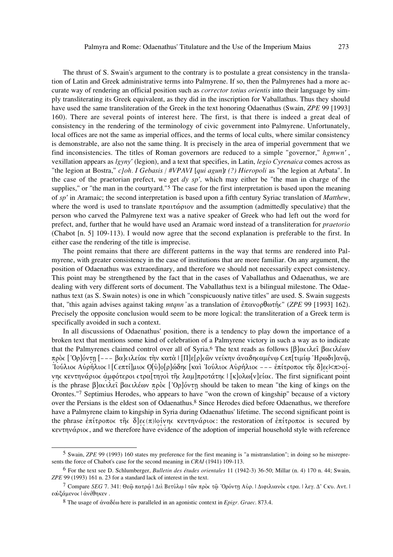The thrust of S. Swain's argument to the contrary is to postulate a great consistency in the translation of Latin and Greek administrative terms into Palmyrene. If so, then the Palmyrenes had a more accurate way of rendering an official position such as *corrector totius orientis* into their language by simply transliterating its Greek equivalent, as they did in the inscription for Vaballathus. Thus they should have used the same transliteration of the Greek in the text honoring Odaenathus (Swain, *ZPE* 99 [1993] 160). There are several points of interest here. The first, is that there is indeed a great deal of consistency in the rendering of the terminology of civic government into Palmyrene. Unfortunately, local offices are not the same as imperial offices, and the terms of local cults, where similar consistency is demonstrable, are also not the same thing. It is precisely in the area of imperial government that we find inconsistencies. The titles of Roman governors are reduced to a simple "governor," *hgmwn'* , vexillation appears as *lgyny'* (legion), and a text that specifies, in Latin, *legio Cyrenaica* comes across as "the legion at Bostra," *c]oh. I Gebasis | #VPAVI* [*qui agun*]*t (?) Hieropoli* as "the legion at Arbata". In the case of the praetorian prefect, we get  $dy$  sp', which may either be "the man in charge of the supplies," or "the man in the courtyard."<sup>5</sup> The case for the first interpretation is based upon the meaning of *sp'* in Aramaic; the second interpretation is based upon a fifth century Syriac translation of *Matthew*, where the word is used to translate  $\pi \rho \alpha \tau \dot{\alpha} \rho \nu \dot{\alpha}$  and the assumption (admittedly speculative) that the person who carved the Palmyrene text was a native speaker of Greek who had left out the word for prefect, and, further that he would have used an Aramaic word instead of a transliteration for *praetorio* (Chabot [n. 5] 109-113). I would now agree that the second explanation is preferable to the first. In either case the rendering of the title is imprecise.

The point remains that there are different patterns in the way that terms are rendered into Palmyrene, with greater consistency in the case of institutions that are more familiar. On any argument, the position of Odaenathus was extraordinary, and therefore we should not necessarily expect consistency. This point may be strengthened by the fact that in the cases of Vaballathus and Odaenathus, we are dealing with very different sorts of document. The Vaballathus text is a bilingual milestone. The Odaenathus text (as S. Swain notes) is one in which "conspicuously native titles" are used. S. Swain suggests that, "this again advises against taking *mtqnn*' as a translation of ἐπανορθωτής" (*ZPE* 99 [1993] 162). Precisely the opposite conclusion would seem to be more logical: the transliteration of a Greek term is specifically avoided in such a context.

In all discussions of Odaenathus' position, there is a tendency to play down the importance of a broken text that mentions some kind of celebration of a Palmyrene victory in such a way as to indicate that the Palmyrenes claimed control over all of Syria.<sup>6</sup> The text reads as follows [ $\beta$ ] $\alpha$ ci $\lambda \epsilon$ il $\beta$  $\alpha$ ci $\lambda \epsilon$  $\omega$ v πρὸς ['Oρ]όντη [--- βα] cιλείας τὴν κατὰ | [Π]ε[ρ] cῶν νείκην ἀναδης αμένω Cεπ[τιμίω Ήρωδι]ανῶ, .<br>Γιούλιος Αὐρήλιος | [Cεπτί]μιος Ο[ὐ]ο[ρ]ώδης [καὶ Τούλιος Αὐρήλιος --- ἐπίτροπος τῆς δ]ες|<π>οίνης κεντηνάριος άμφότεροι  $\cosh(\pi\gamma\delta)$  της λαμ]προτάτης  $|\kappa|\delta\lambda\omega|\nu|\epsilon\alpha$ . The first significant point is the phrase  $\beta$ ] $\alpha$ ci $\lambda \epsilon$   $\beta$  $\alpha$ ci $\lambda \epsilon$  $\omega$   $\nu$   $\pi$  $\rho$  $\delta$ c ['Op] $\delta$  $\nu$  $\tau$ <sub>1</sub> should be taken to mean "the king of kings on the Orontes."7 Septimius Herodes, who appears to have "won the crown of kingship" because of a victory over the Persians is the eldest son of Odaenathus.<sup>8</sup> Since Herodes died before Odaenathus, we therefore have a Palmyrene claim to kingship in Syria during Odaenathus' lifetime. The second significant point is the phrase  $\epsilon \pi i\tau\rho\sigma \pi o c \tau \hat{\eta} c \delta \epsilon(\pi)$  |other keythotal state restoration of  $\epsilon \pi i\tau \rho \sigma \pi o c$  is secured by  $\kappa$ εντηνάριος, and we therefore have evidence of the adoption of imperial household style with reference

<sup>5</sup> Swain, *ZPE* 99 (1993) 160 states my preference for the first meaning is "a mistranslation"; in doing so he misrepresents the force of Chabot's case for the second meaning in *CRAI* (1941) 109-113.

<sup>6</sup> For the text see D. Schlumberger, *Bulletin des études orientales* 11 (1942-3) 36-50; Millar (n. 4) 170 n. 44; Swain, *ZPE* 99 (1993) 161 n. 23 for a standard lack of interest in the text.

<sup>&</sup>lt;sup>7</sup> Compare *SEG* 7. 341: Θεῷ πατρώ | Διὶ Βετύλω | τῶν πρὸς τῷ 'Ορόντη Αὐρ. | Διφιλιανὸς ςτρα. | λεγ. Δ' Cκυ. Avt. | εωξάμενος | άνέθηκεν.

 $8$  The usage of άναδέω here is paralleled in an agonistic context in *Epigr. Graec.* 873.4.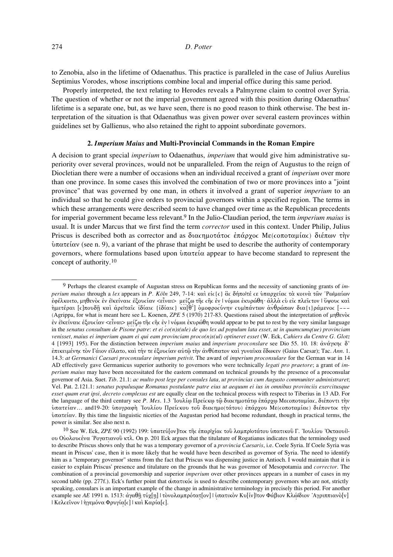to Zenobia, also in the lifetime of Odaenathus. This practice is paralleled in the case of Julius Aurelius Septimius Vorodes, whose inscriptions combine local and imperial office during this same period.

Properly interpreted, the text relating to Herodes reveals a Palmyrene claim to control over Syria. The question of whether or not the imperial government agreed with this position during Odaenathus' lifetime is a separate one, but, as we have seen, there is no good reason to think otherwise. The best interpretation of the situation is that Odaenathus was given power over several eastern provinces within guidelines set by Gallienus, who also retained the right to appoint subordinate governors.

### **2.** *Imperium Maius* **and Multi-Provincial Commands in the Roman Empire**

A decision to grant special *imperium* to Odaenathus, *imperium* that would give him administrative superiority over several provinces, would not be unparalleled. From the reign of Augustus to the reign of Diocletian there were a number of occasions when an individual received a grant of *imperium* over more than one province. In some cases this involved the combination of two or more provinces into a "joint province" that was governed by one man, in others it involved a grant of superior *imperium* to an individual so that he could give orders to provincial governors within a specified region. The terms in which these arrangements were described seem to have changed over time as the Republican precedents for imperial government became less relevant.9 In the Julio-Claudian period, the term *imperium maius* is usual. It is under Marcus that we first find the term *corrector* used in this context. Under Philip, Julius Priscus is described both as corrector and as διασημοτάτος επάρχος Με(coποταμίας) διέπων την  $\hat{p}$ πατείαν (see n. 9), a variant of the phrase that might be used to describe the authority of contemporary governors, where formulations based upon  $\delta \pi \alpha \tau \epsilon \alpha$  appear to have become standard to represent the concept of authority.10

<sup>9</sup> Perhaps the clearest example of Augustan stress on Republican forms and the necessity of sanctioning grants of *imperium maius* through a *lex* appears in *P. Köln* 249, 7-14: και είς (ε) ἃς δήποιτέ σε υπαρχείας τὰ κοινὰ τῶν 'Ρωμαίων έφέλκοιτο, μηθενὸς ἐν ἐΙκείναις ἐξουςίαν <εἶναι> μείζω τῆς cῆς ἐν∣νόμωι ἐκυρώθη· ἀλλὰ cὺ εἰς πλεῖςτον∣ ὕψους καὶ ήμετέραι [c]πουδῆ καὶ ἀρεΙταῖς ἰδίαις {iδίαις} κα[θ'] ὁμοφροςύνην ςυμΙπάντων ἀνθρώπων δια{ι}ράμενος [---(Agrippa, for what is meant here see L. Koenen, *ZPE* 5 (1970) 217-83. Questions raised about the interpretation of  $\mu$ n $\theta$ evòc έν ἐlκείναις ἐξουςίαν <εἶναι> μείζω τῆς cῆς ἐν | νόμωι ἐκυρώθη would appear to be put to rest by the very similar language in the *senatus consultum de Pisone patre*: *et ei co(n)s(ule) de quo lex ad populum lata esset, ut in quamcumq(ue) provinciam venisset, maius ei imperium quam ei qui eam provinciam proco(n)s(ul) optineret esset* (W. Eck, *Cahiers du Centre G. Glotz* 4 [1993] 195). For the distinction between *imperium maius* and *imperium proconslare* see Dio 55. 10. 18: énãgkh! d' επικειμένης τὸν Γάιον εἴλατο, καὶ τήν τε ἐξουςίαν αὐτῷ τὴν ἀνθύπατον καὶ γυναῖκα ἔδωκεν (Gaius Caesar); Tac. Ann. 1. 14.3: *at Germanici Caesari proconsulare imperium petivit*. The award of *imperium proconsulare* for the German war in 14 AD effectively gave Germanicus superior authority to governors who were technically *legati pro praetore*; a grant of *imperium maius* may have been necessitated for the eastern command on technical grounds by the presence of a proconsular governor of Asia. Suet. *Tib*. 21.1: *ac multo post lege per consules lata, ut provincias cum Augusto communiter administraret*; Vel. Pat. 2.121.1: *senatus populusque Romanus postulante patre eius ut aequum ei ius in omnibus provinciis exercitusque esset quam erat ipsi, decreto complexus est* are equally clear on the technical process with respect to Tiberius in 13 AD. For the language of the third century see P. Mes. 1.3 Ιουλίω Πρείκαφ τω διακημοτάτω επάρχω Μεςοποταμίας, διέποντι την ύπατείαν... and19-20: ύπογραφή 'Ιουλίου Πρείςκου τού διαςημο(τάτου) έπάρχου Με(ςοποταμίας) διέποντος την  $\hat{p}$ πατείαν. By this time the linguistic niceties of the Augustan period had become redundant, though in practical terms, the power is similar. See also next n.

<sup>10</sup> See W. Eck, *ZPE* 90 (1992) 199: υπατεύ[ον]|τος της επαρ|χίας τοῦ λαμπρ|οτάτου υπατικοῦ Γ. Ἰουλίου Όκταουί|ου Οὐολους ένα 'Ρογατιανοῦ κτλ. On p. 201 Eck argues that the titulature of Rogatianus indicates that the terminology used to describe Priscus shows only that he was a temporary governor of a *provincia Caesaris*, i.e. Coele Syria. If Coele Syria was meant in Priscus' case, then it is more likely that he would have been described as governor of Syria. The need to identify him as a "temporary governor" stems from the fact that Priscus was dispensing justice in Antioch. I would maintain that it is easier to explain Priscus' presence and titulature on the grounds that he was governor of Mesopotamia and *corrector*. The combination of a provincial governorship and superior *imperium* over other provinces appears in a number of cases in my second table (pp. 277f.). Eck's further point that  $\dot{\omega}\pi\alpha\tau\iota\kappa\acute{o}c$  is used to describe contemporary governors who are not, strictly speaking, consulars is an important example of the change in administrative terminology in precisely this period. For another example see *AE* 1991 n. 1513: άγαθῆ τύχ[η] | τὸνολαμπρότατ[ον] | ὑπατικὸν Κυ[ίν]|τον Φάβιον Κλώ|διον 'Αγριππιανὸ[ν] | Κελςεΐνον | ήγεμόνα Φρυγία[c] | και Καρία[c].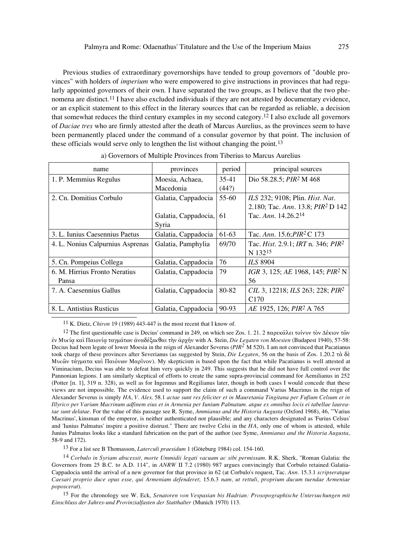Previous studies of extraordinary governorships have tended to group governors of "double provinces" with holders of *imperium* who were empowered to give instructions in provinces that had regularly appointed governors of their own. I have separated the two groups, as I believe that the two phenomena are distinct.11 I have also excluded individuals if they are not attested by documentary evidence, or an explicit statement to this effect in the literary sources that can be regarded as reliable, a decision that somewhat reduces the third century examples in my second category.12 I also exclude all governors of *Daciae tres* who are firmly attested after the death of Marcus Aurelius, as the provinces seem to have been permanently placed under the command of a consular governor by that point. The inclusion of these officials would serve only to lengthen the list without changing the point.<sup>13</sup>

| provinces           | period | principal sources                              |
|---------------------|--------|------------------------------------------------|
| Moesia, Achaea,     | 35-41  | Dio 58.28.5; $PIR2 M 468$                      |
| Macedonia           | (44?)  |                                                |
| Galatia, Cappadocia | 55-60  | ILS 232; 9108; Plin. Hist. Nat.                |
|                     |        | 2.180; Tac. Ann. 13.8; PIR <sup>2</sup> D 142  |
|                     | 61     | Tac. Ann. 14.26.2 <sup>14</sup>                |
| Syria               |        |                                                |
| Galatia, Cappadocia | 61-63  | Tac. Ann. 15.6; PIR <sup>2</sup> C 173         |
| Galatia, Pamphylia  | 69/70  | Tac. Hist. 2.9.1; IRT n. 346; PIR <sup>2</sup> |
|                     |        | N 132 <sup>15</sup>                            |
| Galatia, Cappadocia | 76     | ILS 8904                                       |
| Galatia, Cappadocia | 79     | IGR 3, 125; AE 1968, 145; PIR <sup>2</sup> N   |
|                     |        | 56                                             |
| Galatia, Cappadocia | 80-82  | CIL 3, 12218; ILS 263; 228; PIR <sup>2</sup>   |
|                     |        | C <sub>170</sub>                               |
| Galatia, Cappadocia | 90-93  | AE 1925, 126; PIR <sup>2</sup> A 765           |
|                     |        | Galatia, Cappadocia,                           |

a) Governors of Multiple Provinces from Tiberius to Marcus Aurelius

11 K. Dietz, *Chiron* 19 (1989) 443-447 is the most recent that I know of.

<sup>12</sup> The first questionable case is Decius' command in 249, on which see Zos. 1. 21. 2 παρεκάλει τοίνυν τὸν Δέκιον τῶν εν Μυτία και Παιονία ταγμάτων αναδέξαςθαι την άρχήν with A. Stein, *Die Legaten von Moesien* (Budapest 1940), 57-58: Decius had been legate of lower Moesia in the reign of Alexander Severus (*PIR2* M 520). I am not convinced that Pacatianus took charge of these provinces after Severianus (as suggested by Stein, *Die Legaten*, 56 on the basis of Zos. 1.20.2 τὰ δὲ Mυςῶν τάγματα καὶ Παιόνων Μαρῖνον). My skepticism is based upon the fact that while Pacatianus is well attested at Viminacium, Decius was able to defeat him very quickly in 249. This suggests that he did not have full control over the Pannonian legions. I am similarly skeptical of efforts to create the same supra-provincial command for Aemilianus in 252 (Potter [n. 1], 319 n. 328), as well as for Ingennus and Regilianus later, though in both cases I would concede that these views are not impossible. The evidence used to support the claim of such a command Varius Macrinus in the reign of Alexander Severus is simply *HA*, *V*. *Alex*. 58.1 *actae sunt res feliciter et in Mauretania Tingitana per Fufium Celsum et in Illyrico per Varium Macrinum adfinem eius et in Armenia per Iunium Palmatum. atque ex omnibus locis ei tabellae laureatae sunt delatae*. For the value of this passage see R. Syme, *Ammianus and the Historia Augusta* (Oxford 1968), 46, "'Varius Macrinus', kinsman of the emperor, is neither authenticated nor plausible; and any characters designated as 'Furius Celsus' and 'Iunius Palmatus' inspire a positive distrust." There are twelve Celsi in the *HA*, only one of whom is attested, while Junius Palmatus looks like a standard fabrication on the part of the author (see Syme, *Ammianus and the Historia Augusta*, 58-9 and 172).

13 For a list see B Thomasson, *Laterculi praesidum* 1 (Göteburg 1984) col. 154-160.

14 *Corbulo in Syriam abscessit, morte Ummidii legati vacuam ac sibi permissam*. R.K. Sherk, "Roman Galatia: the Governors from 25 B.C. to A.D. 114", in *ANRW* II 7.2 (1980) 987 argues convincingly that Corbulo retained Galatia-Cappadocia until the arrival of a new governor for that province in 62 (at Corbulo's request, Tac. *Ann*. 15.3.1 *scripseratque Caesari proprio duce opus esse, qui Armeniam defenderet*; 15.6.3 *nam, ut rettuli, proprium ducum tuendae Armeniae poposcerat*).

15 For the chronology see W. Eck, *Senatoren von Vespasian bis Hadrian: Prosopographische Untersuchungen mit Einschluss der Jahres-und Provinzialfasten der Statthalter* (Munich 1970) 113.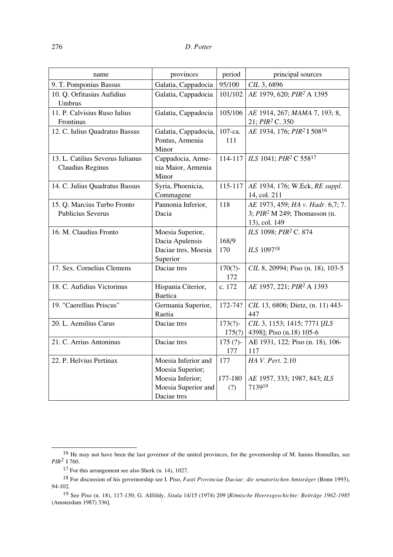| name                                                        | provinces                                                                          | period                | principal sources                                                                     |
|-------------------------------------------------------------|------------------------------------------------------------------------------------|-----------------------|---------------------------------------------------------------------------------------|
| 9. T. Pomponius Bassus                                      | Galatia, Cappadocia                                                                | 95/100                | CIL 3, 6896                                                                           |
| 10. Q. Orfitasius Aufidius<br>Umbrus                        | Galatia, Cappadocia                                                                | 101/102               | AE 1979, 620; PIR <sup>2</sup> A 1395                                                 |
| 11. P. Calvisius Ruso Iulius<br>Frontinus                   | Galatia, Cappadocia                                                                | 105/106               | AE 1914, 267; MAMA 7, 193; 8,<br>21; PIR <sup>2</sup> C. 350                          |
| 12. C. Iulius Quadratus Bassus                              | Galatia, Cappadocia,<br>Pontus, Armenia<br>Minor                                   | 107-ca.<br>111        | AE 1934, 176; PIR <sup>2</sup> I 508 <sup>16</sup>                                    |
| 13. L. Catilius Severus Iulianus<br><b>Claudius Reginus</b> | Cappadocia, Arme-<br>nia Maior, Armenia<br>Minor                                   | 114-117               | ILS 1041; PIR <sup>2</sup> C 558 <sup>17</sup>                                        |
| 14. C. Julius Quadratus Bassus                              | Syria, Phoenicia,<br>Commagene                                                     | 115-117               | AE 1934, 176; W.Eck, RE suppl.<br>14, col. 211                                        |
| 15. Q. Marcius Turbo Fronto<br><b>Publicius Severus</b>     | Pannonia Inferior,<br>Dacia                                                        | 118                   | AE 1973, 459; HA v. Hadr. 6,7; 7.<br>3; $PIR2 M 249$ ; Thomasson (n.<br>13), col. 149 |
| 16. M. Claudius Fronto                                      | Moesia Superior,<br>Dacia Apulensis<br>Daciae tres, Moesia<br>Superior             | 168/9<br>170          | ILS 1098; PIR <sup>2</sup> C. 874<br>ILS 109718                                       |
| 17. Sex. Cornelius Clemens                                  | Daciae tres                                                                        | $170(?)-$<br>172      | CIL 8, 20994; Piso (n. 18), 103-5                                                     |
| 18. C. Aufidius Victorinus                                  | Hispania Citerior,<br><b>Baetica</b>                                               | c. 172                | AE 1957, 221; PIR <sup>2</sup> A 1393                                                 |
| 19. "Caerellius Priscus"                                    | Germania Superior,<br>Raetia                                                       | 172-74?               | CIL 13, 6806; Dietz, (n. 11) 443-<br>447                                              |
| 20. L. Aemilius Carus                                       | Daciae tres                                                                        | $173(?)-$<br>175(?)   | CIL 3, 1153; 1415; 7771 [ILS<br>4398]; Piso (n.18) 105-6                              |
| 21. C. Arrius Antoninus                                     | Daciae tres                                                                        | 175 $(?)-$<br>177     | AE 1931, 122; Piso (n. 18), 106-<br>117                                               |
| 22. P. Helvius Pertinax                                     | Moesia Inferior and<br>Moesia Superior;<br>Moesia Inferior;<br>Moesia Superior and | 177<br>177-180<br>(?) | HA V. Pert. 2.10<br>AE 1957, 333; 1987, 843; ILS<br>713919                            |
|                                                             | Daciae tres                                                                        |                       |                                                                                       |

<sup>&</sup>lt;sup>16</sup> He may not have been the last governor of the united provinces, for the governorship of M. Iunius Homullus, see *PIR2* I 760.

<sup>17</sup> For this arrangement see also Sherk (n. 14), 1027.

<sup>18</sup> For discussion of his governorship see I. Piso, *Fasti Provinciae Daciae: die senatorischen Amtsräger* (Bonn 1993), 94-102.

<sup>19</sup> See Piso (n. 18), 117-130; G. Alföldy, *Situla* 14/15 (1974) 209 [*Römische Heeresgeschichte: Beiträge 1962-1985* (Amsterdam 1987) 336].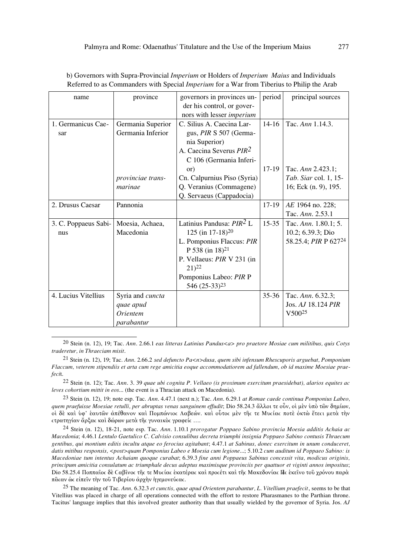| name                      | province                               | governors in provinces un-                          | period    | principal sources       |
|---------------------------|----------------------------------------|-----------------------------------------------------|-----------|-------------------------|
|                           |                                        | der his control, or gover-                          |           |                         |
|                           |                                        | nors with lesser imperium                           |           |                         |
| 1. Germanicus Cae-<br>sar | Germania Superior<br>Germania Inferior | C. Silius A. Caecina Lar-<br>gus, PIR S 507 (Germa- | $14 - 16$ | Tac. <i>Ann</i> 1.14.3. |
|                           |                                        | nia Superior)                                       |           |                         |
|                           |                                        | A. Caecina Severus $PIR2$                           |           |                         |
|                           |                                        | C 106 (Germania Inferi-                             |           |                         |
|                           |                                        | or)                                                 | $17-19$   | Tac. Ann 2.423.1;       |
|                           | provinciae trans-                      | Cn. Calpurnius Piso (Syria)                         |           | Tab. Siar col. 1, 15-   |
|                           | marinae                                | Q. Veranius (Commagene)                             |           | 16; Eck (n. 9), 195.    |
|                           |                                        | Q. Servaeus (Cappadocia)                            |           |                         |
| 2. Drusus Caesar          | Pannonia                               |                                                     | $17-19$   | AE 1964 no. 228;        |
|                           |                                        |                                                     |           | Tac. Ann. 2.53.1        |
| 3. C. Poppaeus Sabi-      | Moesia, Achaea,                        | Latinius Pandusa: PIR <sup>2</sup> L                | $15 - 35$ | Tac. Ann. 1.80.1; 5.    |
| nus                       | Macedonia                              | $125$ (in $17-18$ ) <sup>20</sup>                   |           | 10.2; 6.39.3; Dio       |
|                           |                                        | L. Pomponius Flaccus: PIR                           |           | 58.25.4; PIR P 62724    |
|                           |                                        | P 538 (in 18) <sup>21</sup>                         |           |                         |
|                           |                                        | P. Vellaeus: PIR V 231 (in                          |           |                         |
|                           |                                        | $21)$ <sup>22</sup>                                 |           |                         |
|                           |                                        | Pomponius Labeo: PIR P                              |           |                         |
|                           |                                        | 546 (25-33) <sup>23</sup>                           |           |                         |
| 4. Lucius Vitellius       | Syria and cuncta                       |                                                     | $35 - 36$ | Tac. Ann. 6.32.3;       |
|                           | quae apud                              |                                                     |           | Jos. AJ 18.124 PIR      |
|                           | <i><b>Orientem</b></i>                 |                                                     |           | $V500^{25}$             |
|                           | parabantur                             |                                                     |           |                         |

| b) Governors with Supra-Provincial Imperium or Holders of Imperium Maius and Individuals          |  |
|---------------------------------------------------------------------------------------------------|--|
| Referred to as Commanders with Special <i>Imperium</i> for a War from Tiberius to Philip the Arab |  |

20 Stein (n. 12), 19; Tac. *Ann*. 2.66.1 *eas litteras Latinius Pandus<a> pro praetore Mosiae cum militibus, quis Cotys traderetur, in Thraeciam misit*.

21 Stein (n. 12), 19; Tac. *Ann*. 2.66.2 *sed defuncto Pa<n>dusa, quem sibi infensum Rhescuporis arguebat, Pomponium Flaccum, veterem stipendiis et arta cum rege amicitia eoque accommodatiorem ad fallendum, ob id maxime Moesiae praefeci*t.

22 Stein (n. 12); Tac. *Ann*. 3. 39 *quae ubi cognita P. Vellaeo (is proximum exercitum praesidebat), alarios equites ac leves cohortium mittit in eos*... (the event is a Thracian attack on Macedonia).

23 Stein (n. 12), 19; note esp. Tac. *Ann*. 4.47.1 (next n.); Tac. *Ann*. 6.29.1 *at Romae caede continua Pomponius Labeo, quem praefuisse Moesiae retulli, per abruptas venas sanguinem effudit*; Dio 58.24.3 ἄλλοι τε οὖν, οἱ μὲν ὑπὸ τῶν δημίων, οί δε και ύφ' έαυτῶν ἀπέθανον και Πομπώνιος Λαβεών, και ούτος μεν της τε Μυςίας ποτε ὀκτὼ ἔτεςι μετα την ετρατηγίαν άρξας και δώρων μετα της γυναικός γραφείς ....

24 Stein (n. 12), 18-21, note esp. Tac. *Ann*. 1.10.1 *prorogatur Poppaeo Sabino provincia Moesia additis Achaia ac Macedonia*; 4.46.1 *Lentulo Gaetulico C. Calvisio consulibus decreta triumphi insignia Poppaeo Sabino contusis Thraecum gentibus, qui montium editis incultu atque eo ferocius agitabant*; 4.47.1 *at Sabinus, donec exercitum in unum conduceret, datis mitibus responsis, <post>quam Pomponius Labeo e Moesia cum legione*...; 5.10.2 *cum auditum id Poppaeo Sabino: is Macedoniae tum intentus Achaiam quoque curabat*; 6.39.3 *fine anni Poppaeus Sabinus concessit vita, modicus originis, principum amicitia consulatum ac triumphale decus adeptus maximisque provinciis per quattuor et viginti annos impositus*; Dio 58.25.4 Ποππαΐος δε Cαβίνος της τε Μυςίας εκατέρας και προςέτι και της Μακεδονίας Πες εκείνο του χρόνου παρα παςαν ώς είπειν την του Τιβερίου άρχην ηγεμονεύςας.

25 The meaning of Tac. *Ann*. 6.32.3 *et cunctis, quae apud Orientem parabantur, L. Vitellium praefecit*, seems to be that Vitellius was placed in charge of all operations connected with the effort to restore Pharasmanes to the Parthian throne. Tacitus' language implies that this involved greater authority than that usually wielded by the governor of Syria. Jos. *AJ*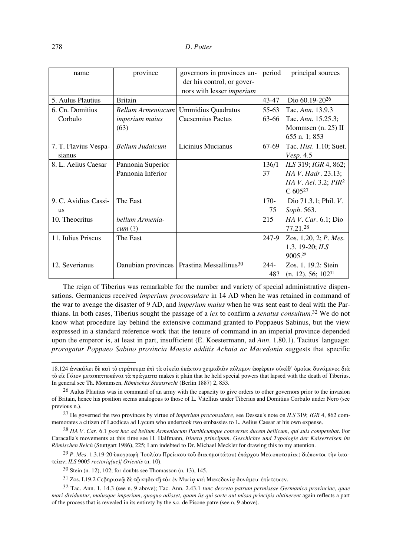| name                 | province               | governors in provinces un-         | period    | principal sources              |
|----------------------|------------------------|------------------------------------|-----------|--------------------------------|
|                      |                        | der his control, or gover-         |           |                                |
|                      |                        | nors with lesser <i>imperium</i>   |           |                                |
| 5. Aulus Plautius    | <b>Britain</b>         |                                    | 43-47     | Dio 60.19-20 <sup>26</sup>     |
| 6. Cn. Domitius      | Bellum Armeniacum      | <b>Ummidius Quadratus</b>          | $55 - 63$ | Tac. Ann. 13.9.3               |
| Corbulo              | <i>imperium maius</i>  | Caesennius Paetus                  | 63-66     | Tac. Ann. 15.25.3;             |
|                      | (63)                   |                                    |           | Mommsen (n. 25) II             |
|                      |                        |                                    |           | 655 n. 1; 853                  |
| 7. T. Flavius Vespa- | <b>Bellum Judaicum</b> | Licinius Mucianus                  | 67-69     | Tac. <i>Hist.</i> 1.10; Suet.  |
| sianus               |                        |                                    |           | <i>Vesp.</i> 4.5               |
| 8. L. Aelius Caesar  | Pannonia Superior      |                                    | 136/1     | ILS 319; IGR 4, 862;           |
|                      | Pannonia Inferior      |                                    | 37        | HA V. Hadr. 23.13;             |
|                      |                        |                                    |           | HA V. Ael. 3.2; $PIR2$         |
|                      |                        |                                    |           | $C 605^{27}$                   |
| 9. C. Avidius Cassi- | The East               |                                    | $170-$    | Dio 71.3.1; Phil. V.           |
| <b>us</b>            |                        |                                    | 75        | Soph. 563.                     |
| 10. Theocritus       | bellum Armenia-        |                                    | 215       | HA V. Car. 6.1; Dio            |
|                      | cum(?)                 |                                    |           | 77.21.28                       |
| 11. Iulius Priscus   | The East               |                                    | 247-9     | Zos. 1.20, 2; P. Mes.          |
|                      |                        |                                    |           | 1.3. 19-20; ILS                |
|                      |                        |                                    |           | 9005.29                        |
| 12. Severianus       | Danubian provinces     | Prastina Messallinus <sup>30</sup> | $244-$    | Zos. 1, 19.2: Stein            |
|                      |                        |                                    | 48?       | (n. 12), 56; 102 <sup>31</sup> |

The reign of Tiberius was remarkable for the number and variety of special administrative dispensations. Germanicus received *imperium proconsulare* in 14 AD when he was retained in command of the war to avenge the disaster of 9 AD, and *imperium maius* when he was sent east to deal with the Parthians. In both cases, Tiberius sought the passage of a *lex* to confirm a *senatus consultum*.32 We do not know what procedure lay behind the extensive command granted to Poppaeus Sabinus, but the view expressed in a standard reference work that the tenure of command in an imperial province depended upon the emperor is, at least in part, insufficient (E. Koestermann, ad *Ann*. 1.80.1). Tacitus' language: *prorogatur Poppaeo Sabino provincia Moesia additis Achaia ac Macedonia* suggests that specific

 $31$  Zos. I.19.2  $C$ εβηριαν $\hat{\omega}$  δε τ $\hat{\omega}$  κηδεςτη τὰς ἐν Μυςία και Μακεδονία δυνάμεις ἐπίςτευςεν.

<sup>18.124</sup> άνεκάλει δε και το στράτευμα έπι τα οίκεια εκάστου χειμαδιαν πόλεμον εκφέρειν ούκεθ' ομοίως δυνάμενος δια τὸ εἰς Γάιον μεταπεπτωκέναι τὰ πράγματα makes it plain that he held special powers that lapsed with the death of Tiberius. In general see Th. Mommsen, *Römisches Staatsrecht* (Berlin 1887) 2, 853.

 $26$  Aulus Plautius was in command of an army with the capacity to give orders to other governors prior to the invasion of Britain, hence his position seems analogous to those of L. Vitellius under Tiberius and Domitius Corbulo under Nero (see previous n.).

<sup>27</sup> He governed the two provinces by virtue of *imperium proconsulare*, see Dessau's note on *ILS* 319; *IGR* 4, 862 commemorates a citizen of Laodicea ad Lycum who undertook two embassies to L. Aelius Caesar at his own expense.

<sup>28</sup> *HA V. Car.* 6.1 *post hoc ad bellum Armeniacum Parthicumque conversus ducem bellicum, qui suis competebat*. For Caracalla's movements at this time see H. Halfmann, *Itinera principum. Geschichte und Typologie der Kaiserreisen im Römischen Reich* (Stuttgart 1986), 225; I am indebted to Dr. Michael Meckler for drawing this to my attention.

<sup>&</sup>lt;sup>29</sup> *P. Mes.* 1.3.19-20 ύπογραφή 'Ιουλίου Πρείςκου τοῦ διαςημο(τάτου) ἐπάρχου Με(ςοποταμίας) διέποντος την υπαte¤an; *ILS* 9005 *rectoriq(ue)| Orientis* (n. 10).

<sup>30</sup> Stein (n. 12), 102; for doubts see Thomasson (n. 13), 145.

<sup>32</sup> Tac. Ann. 1. 14.3 (see n. 9 above); Tac. Ann. 2.43.1 *tunc decreto patrum permissae Germanico provinciae, quae mari dividuntur, maiusque imperium, quoquo adisset, quam iis qui sorte aut missa principis obtinerent* again reflects a part of the process that is revealed in its entirety by the s.c. de Pisone patre (see n. 9 above).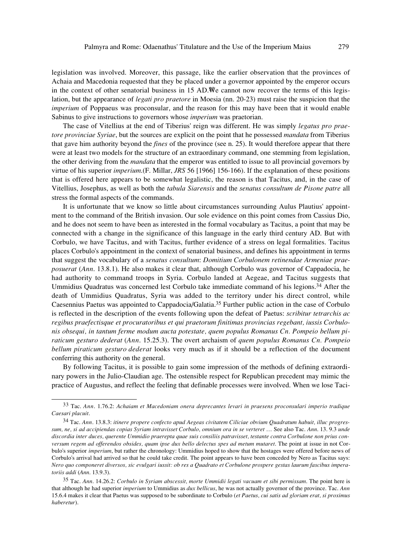legislation was involved. Moreover, this passage, like the earlier observation that the provinces of Achaia and Macedonia requested that they be placed under a governor appointed by the emperor occurs in the context of other senatorial business in 15 AD.We cannot now recover the terms of this legislation, but the appearance of *legati pro praetore* in Moesia (nn. 20-23) must raise the suspicion that the *imperium* of Poppaeus was proconsular, and the reason for this may have been that it would enable Sabinus to give instructions to governors whose *imperium* was praetorian.

The case of Vitellius at the end of Tiberius' reign was different. He was simply *legatus pro praetore provinciae Syriae*, but the sources are explicit on the point that he possessed *mandata* from Tiberius that gave him authority beyond the *fines* of the province (see n. 25). It would therefore appear that there were at least two models for the structure of an extraordinary command, one stemming from legislation, the other deriving from the *mandata* that the emperor was entitled to issue to all provincial governors by virtue of his superior *imperium*.(F. Millar, *JRS* 56 [1966] 156-166). If the explanation of these positions that is offered here appears to be somewhat legalistic, the reason is that Tacitus, and, in the case of Vitellius, Josephus, as well as both the *tabula Siarensis* and the *senatus consultum de Pisone patre* all stress the formal aspects of the commands.

It is unfortunate that we know so little about circumstances surrounding Aulus Plautius' appointment to the command of the British invasion. Our sole evidence on this point comes from Cassius Dio, and he does not seem to have been as interested in the formal vocabulary as Tacitus, a point that may be connected with a change in the significance of this language in the early third century AD. But with Corbulo, we have Tacitus, and with Tacitus, further evidence of a stress on legal formalities. Tacitus places Corbulo's appointment in the context of senatorial business, and defines his appointment in terms that suggest the vocabulary of a *senatus consultum*: *Domitium Corbulonem retinendae Armeniae praeposuerat* (*Ann*. 13.8.1). He also makes it clear that, although Corbulo was governor of Cappadocia, he had authority to command troops in Syria. Corbulo landed at Aegeae, and Tacitus suggests that Ummidius Quadratus was concerned lest Corbulo take immediate command of his legions.34 After the death of Ummidius Quadratus, Syria was added to the territory under his direct control, while Caesennius Paetus was appointed to Cappadocia/Galatia.35 Further public action in the case of Corbulo is reflected in the description of the events following upon the defeat of Paetus: *scribitur tetrarchis ac regibus praefectisque et procuratoribus et qui praetorum finitimas provincias regebant, iussis Corbulonis obsequi, in tantum ferme modum aucta potestate, quem populus Romanus Cn. Pompeio bellum piraticum gesturo dederat* (*Ann*. 15.25.3). The overt archaism of *quem populus Romanus Cn. Pompeio bellum piraticum gesturo dederat* looks very much as if it should be a reflection of the document conferring this authority on the general.

By following Tacitus, it is possible to gain some impression of the methods of defining extraordinary powers in the Julio-Claudian age. The ostensible respect for Republican precedent may mimic the practice of Augustus, and reflect the feeling that definable processes were involved. When we lose Taci-

<sup>33</sup> Tac. *Ann*. 1.76.2: *Achaiam et Macedoniam onera deprecantes levari in praesens proconsulari imperio tradique Caesari placuit*.

<sup>34</sup> Tac. *Ann*. 13.8.3: *itinere propere confecto apud Aegeas civitatem Ciliciae obvium Quadratum habuit, illuc progressum, ne, si ad accipiendas copias Syriam intravisset Corbulo, omnium ora in se verteret* … See also Tac. *Ann*. 13. 9.3 *unde discordia inter duces, querente Ummidio praerepta quae suis consiliis patravisset, testante contra Corbulone non prius conversum regem ad offerendos obsides, quam ipse dux bello delectus spes ad metum mutaret*. The point at issue in not Corbulo's superior *imperium*, but rather the chronology: Ummidius hoped to show that the hostages were offered before news of Corbulo's arrival had arrived so that he could take credit. The point appears to have been conceded by Nero as Tacitus says: *Nero quo componeret diversos, sic evulgari iussit: ob res a Quadrato et Corbulone prospere gestas laurum fascibus imperatoriis addi* (*Ann*. 13.9.3).

<sup>35</sup> Tac. *Ann*. 14.26.2: *Corbulo in Syriam abscessit, morte Ummidii legati vacuam et sibi permissam*. The point here is that although he had superior *imperium* to Ummidius as *dux bellicus*, he was not actually governor of the province. Tac. *Ann* 15.6.4 makes it clear that Paetus was supposed to be subordinate to Corbulo (*et Paetus, cui satis ad gloriam erat, si proximus haberetur*).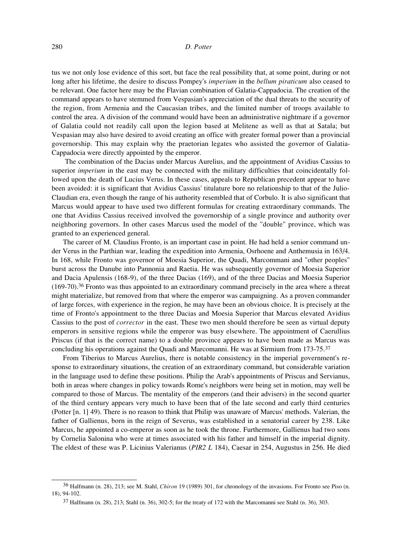tus we not only lose evidence of this sort, but face the real possibility that, at some point, during or not long after his lifetime, the desire to discuss Pompey's *imperium* in the *bellum piraticum* also ceased to be relevant. One factor here may be the Flavian combination of Galatia-Cappadocia. The creation of the command appears to have stemmed from Vespasian's appreciation of the dual threats to the security of the region, from Armenia and the Caucasian tribes, and the limited number of troops available to control the area. A division of the command would have been an administrative nightmare if a governor of Galatia could not readily call upon the legion based at Melitene as well as that at Satala; but Vespasian may also have desired to avoid creating an office with greater formal power than a provincial governorship. This may explain why the praetorian legates who assisted the governor of Galatia-Cappadocia were directly appointed by the emperor.

 The combination of the Dacias under Marcus Aurelius, and the appointment of Avidius Cassius to superior *imperium* in the east may be connected with the military difficulties that coincidentally followed upon the death of Lucius Verus. In these cases, appeals to Republican precedent appear to have been avoided: it is significant that Avidius Cassius' titulature bore no relationship to that of the Julio-Claudian era, even though the range of his authority resembled that of Corbulo. It is also significant that Marcus would appear to have used two different formulas for creating extraordinary commands. The one that Avidius Cassius received involved the governorship of a single province and authority over neighboring governors. In other cases Marcus used the model of the "double" province, which was granted to an experienced general.

The career of M. Claudius Fronto, is an important case in point. He had held a senior command under Verus in the Parthian war, leading the expedition into Armenia, Osrhoene and Anthemusia in 163/4. In 168, while Fronto was governor of Moesia Superior, the Quadi, Marcommani and "other peoples" burst across the Danube into Pannonia and Raetia. He was subsequently governor of Moesia Superior and Dacia Apulensis (168-9), of the three Dacias (169), and of the three Dacias and Moesia Superior  $(169-70).$ <sup>36</sup> Fronto was thus appointed to an extraordinary command precisely in the area where a threat might materialize, but removed from that where the emperor was campaigning. As a proven commander of large forces, with experience in the region, he may have been an obvious choice. It is precisely at the time of Fronto's appointment to the three Dacias and Moesia Superior that Marcus elevated Avidius Cassius to the post of *corrector* in the east. These two men should therefore be seen as virtual deputy emperors in sensitive regions while the emperor was busy elsewhere. The appointment of Caerullius Priscus (if that is the correct name) to a double province appears to have been made as Marcus was concluding his operations against the Quadi and Marcomanni. He was at Sirmium from 173-75.37

From Tiberius to Marcus Aurelius, there is notable consistency in the imperial government's response to extraordinary situations, the creation of an extraordinary command, but considerable variation in the language used to define these positions. Philip the Arab's appointments of Priscus and Servianus, both in areas where changes in policy towards Rome's neighbors were being set in motion, may well be compared to those of Marcus. The mentality of the emperors (and their advisers) in the second quarter of the third century appears very much to have been that of the late second and early third centuries (Potter [n. 1] 49). There is no reason to think that Philip was unaware of Marcus' methods. Valerian, the father of Gallienus, born in the reign of Severus, was established in a senatorial career by 238. Like Marcus, he appointed a co-emperor as soon as he took the throne. Furthermore, Gallienus had two sons by Cornelia Salonina who were at times associated with his father and himself in the imperial dignity. The eldest of these was P. Licinius Valerianus (*PIR2 L* 184), Caesar in 254, Augustus in 256. He died

<sup>36</sup> Halfmann (n. 28), 213; see M. Stahl, *Chiron* 19 (1989) 301, for chronology of the invasions. For Fronto see Piso (n. 18), 94-102.

<sup>37</sup> Halfmann (n. 28), 213; Stahl (n. 36), 302-5; for the treaty of 172 with the Marcomanni see Stahl (n. 36), 303.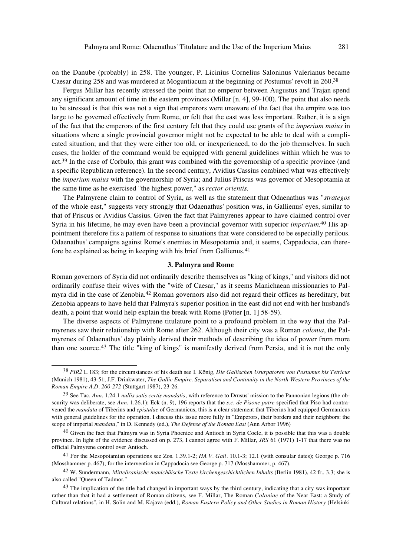on the Danube (probably) in 258. The younger, P. Licinius Cornelius Saloninus Valerianus became Caesar during 258 and was murdered at Moguntiacum at the beginning of Postumus' revolt in 260.38

Fergus Millar has recently stressed the point that no emperor between Augustus and Trajan spend any significant amount of time in the eastern provinces (Millar [n. 4], 99-100). The point that also needs to be stressed is that this was not a sign that emperors were unaware of the fact that the empire was too large to be governed effectively from Rome, or felt that the east was less important. Rather, it is a sign of the fact that the emperors of the first century felt that they could use grants of the *imperium maius* in situations where a single provincial governor might not be expected to be able to deal with a complicated situation; and that they were either too old, or inexperienced, to do the job themselves. In such cases, the holder of the command would be equipped with general guidelines within which he was to act.39 In the case of Corbulo, this grant was combined with the governorship of a specific province (and a specific Republican reference). In the second century, Avidius Cassius combined what was effectively the *imperium maius* with the governorship of Syria; and Julius Priscus was governor of Mesopotamia at the same time as he exercised "the highest power," as *rector orientis*.

The Palmyrene claim to control of Syria, as well as the statement that Odaenathus was "*strategos* of the whole east," suggests very strongly that Odaenathus' position was, in Gallienus' eyes, similar to that of Priscus or Avidius Cassius. Given the fact that Palmyrenes appear to have claimed control over Syria in his lifetime, he may even have been a provincial governor with superior *imperium*.40 His appointment therefore fits a pattern of response to situations that were considered to be especially perilous. Odaenathus' campaigns against Rome's enemies in Mesopotamia and, it seems, Cappadocia, can therefore be explained as being in keeping with his brief from Gallienus.<sup>41</sup>

#### **3. Palmyra and Rome**

Roman governors of Syria did not ordinarily describe themselves as "king of kings," and visitors did not ordinarily confuse their wives with the "wife of Caesar," as it seems Manichaean missionaries to Palmyra did in the case of Zenobia.42 Roman governors also did not regard their offices as hereditary, but Zenobia appears to have held that Palmyra's superior position in the east did not end with her husband's death, a point that would help explain the break with Rome (Potter [n. 1] 58-59).

The diverse aspects of Palmyrene titulature point to a profound problem in the way that the Palmyrenes saw their relationship with Rome after 262. Although their city was a Roman *colonia*, the Palmyrenes of Odaenathus' day plainly derived their methods of describing the idea of power from more than one source.43 The title "king of kings" is manifestly derived from Persia, and it is not the only

<sup>38</sup> *PIR2* L 183; for the circumstances of his death see I. König, *Die Gallischen Usurpatoren von Postumus bis Tetricus* (Munich 1981), 43-51; J.F. Drinkwater, *The Gallic Empire. Separatism and Continuity in the North-Western Provinces of the Roman Empire A.D. 260-272* (Stuttgart 1987), 23-26.

<sup>39</sup> See Tac. *Ann*. 1.24.1 *nullis satis certis mandatis*, with reference to Drusus' mission to the Pannonian legions (the obscurity was deliberate, see *Ann*. 1.26.1); Eck (n. 9), 196 reports that the *s.c. de Pisone patre* specified that Piso had contravened the *mandata* of Tiberius and *epistulae* of Germanicus, this is a clear statement that Tiberius had equipped Germanicus with general guidelines for the operation. I discuss this issue more fully in "Emperors, their borders and their neighbors: the scope of imperial *mandata*," in D. Kennedy (ed.), *The Defense of the Roman East* (Ann Arbor 1996)

<sup>&</sup>lt;sup>40</sup> Given the fact that Palmyra was in Syria Phoenice and Antioch in Syria Coele, it is possible that this was a double province. In light of the evidence discussed on p. 273, I cannot agree with F. Millar, *JRS* 61 (1971) 1-17 that there was no official Palmyrene control over Antioch.

<sup>41</sup> For the Mesopotamian operations see Zos. 1.39.1-2; *HA V. Gall*. 10.1-3; 12.1 (with consular dates); George p. 716 (Mosshammer p. 467); for the intervention in Cappadocia see George p. 717 (Mosshammer, p. 467).

<sup>42</sup> W. Sundermann, *Mitteliranische manichäische Texte kirchengeschichtlichen Inhalts* (Berlin 1981), 42 fr.. 3.3; she is also called "Queen of Tadmor."

<sup>&</sup>lt;sup>43</sup> The implication of the title had changed in important ways by the third century, indicating that a city was important rather than that it had a settlement of Roman citizens, see F. Millar, The Roman *Coloniae* of the Near East: a Study of Cultural relations", in H. Solin and M. Kajava (edd.), *Roman Eastern Policy and Other Studies in Roman History* (Helsinki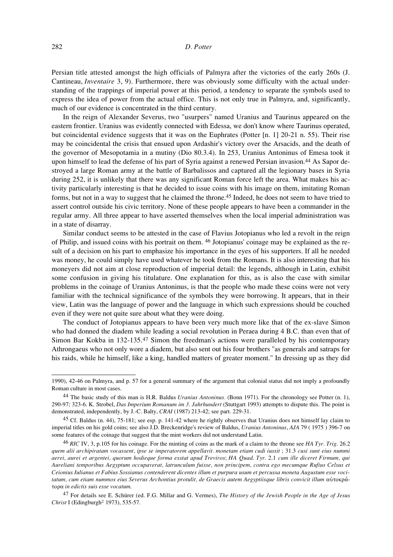Persian title attested amongst the high officials of Palmyra after the victories of the early 260s (J. Cantineau, *Inventaire* 3, 9). Furthermore, there was obviously some difficulty with the actual understanding of the trappings of imperial power at this period, a tendency to separate the symbols used to express the idea of power from the actual office. This is not only true in Palmyra, and, significantly, much of our evidence is concentrated in the third century.

In the reign of Alexander Severus, two "usurpers" named Uranius and Taurinus appeared on the eastern frontier. Uranius was evidently connected with Edessa, we don't know where Taurinus operated, but coincidental evidence suggests that it was on the Euphrates (Potter [n. 1] 20-21 n. 55). Their rise may be coincidental the crisis that ensued upon Ardashir's victory over the Arsacids, and the death of the governor of Mesopotamia in a mutiny (Dio 80.3.4). In 253, Uranius Antoninus of Emesa took it upon himself to lead the defense of his part of Syria against a renewed Persian invasion.44 As Sapor destroyed a large Roman army at the battle of Barbalissos and captured all the legionary bases in Syria during 252, it is unlikely that there was any significant Roman force left the area. What makes his activity particularly interesting is that he decided to issue coins with his image on them, imitating Roman forms, but not in a way to suggest that he claimed the throne.45 Indeed, he does not seem to have tried to assert control outside his civic territory. None of these people appears to have been a commander in the regular army. All three appear to have asserted themselves when the local imperial administration was in a state of disarray.

Similar conduct seems to be attested in the case of Flavius Jotopianus who led a revolt in the reign of Philip, and issued coins with his portrait on them. 46 Jotopianus' coinage may be explained as the result of a decision on his part to emphasize his importance in the eyes of his supporters. If all he needed was money, he could simply have used whatever he took from the Romans. It is also interesting that his moneyers did not aim at close reproduction of imperial detail: the legends, although in Latin, exhibit some confusion in giving his titulature. One explanation for this, as is also the case with similar problems in the coinage of Uranius Antoninus, is that the people who made these coins were not very familiar with the technical significance of the symbols they were borrowing. It appears, that in their view, Latin was the language of power and the language in which such expressions should be couched even if they were not quite sure about what they were doing.

The conduct of Jotopianus appears to have been very much more like that of the ex-slave Simon who had donned the diadem while leading a social revolution in Peraea during 4 B.C. than even that of Simon Bar Kokba in 132-135.47 Simon the freedman's actions were paralleled by his contemporary Athrongaeus who not only wore a diadem, but also sent out his four brothers "as generals and satraps for his raids, while he himself, like a king, handled matters of greater moment." In dressing up as they did

<sup>1990), 42-46</sup> on Palmyra, and p. 57 for a general summary of the argument that colonial status did not imply a profoundly Roman culture in most cases.

<sup>44</sup> The basic study of this man is H.R. Baldus *Uranius Antoninus.* (Bonn 1971). For the chronology see Potter (n. 1), 290-97; 323-6. K. Strobel, *Das Imperium Romanum im 3. Jahrhundert* (Stuttgart 1993) attempts to dispute this. The point is demonstrated, independently, by J.-C. Balty, *CRAI* (1987) 213-42; see part. 229-31.

<sup>45</sup> Cf. Baldus (n. 44), 75-181; see esp. p. 141-42 where he rightly observes that Uranius does not himself lay claim to imperial titles on his gold coins; see also J.D. Breckenridge's review of Baldus, *Uranius Antoninus*, *AJA* 79 ( 1975 ) 396-7 on some features of the coinage that suggest that the mint workers did not understand Latin.

<sup>46</sup> *RIC* IV, 3, p.105 for his coinage. For the minting of coins as the mark of a claim to the throne see *HA Tyr. Trig*. 26.2 *quem alii archipiratam vocassent, ipse se imperatorem appellavit. monetam etiam cudi iussit* ; 31.3 *cusi sunt eius nummi aerei, aurei et argentei, quorum hodieque forma exstat apud Treviros*; *HA Quad*. *Tyr*. 2.1 *cum ille diceret Firmum, qui Aureliani temporibus Aegyptum occupaverat, latrunculum fuisse, non principem, contra ego mecumque Rufius Celsus et Ceionius Iulianus et Fabius Sossianus contenderent dicentes illum et purpura usum et percussa moneta Augustum esse voci*tatum, cum etiam nummos eius Severus Archontius protulit, de Graecis autem Aegyptiisque libris convicit illum αὐτοκράtora *in edictis suis esse vocatum*.

<sup>47</sup> For details see E. Schürer (ed. F.G. Millar and G. Vermes), *The History of the Jewish People in the Age of Jesus Christ* I (Edingburgh2 1973), 535-57.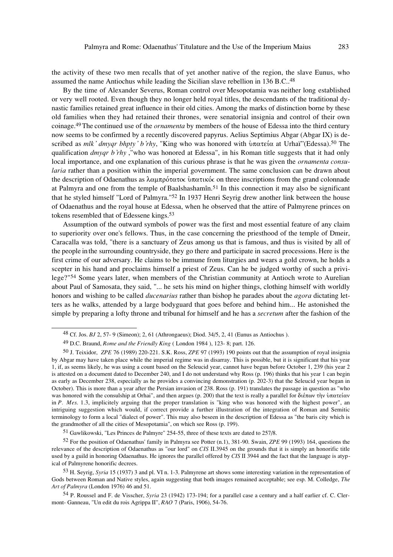the activity of these two men recalls that of yet another native of the region, the slave Eunus, who assumed the name Antiochus while leading the Sicilian slave rebellion in 136 B.C..48

By the time of Alexander Severus, Roman control over Mesopotamia was neither long established or very well rooted. Even though they no longer held royal titles, the descendants of the traditional dynastic families retained great influence in their old cities. Among the marks of distinction borne by these old families when they had retained their thrones, were senatorial insignia and control of their own coinage.49 The continued use of the *ornamenta* by members of the house of Edessa into the third century now seems to be confirmed by a recently discovered papyrus. Aelius Septimius Abgar (Abgar IX) is described as *mlk*' dmyqr bhpty' b'rhy, "King who was honored with ὑπατεία at Urhaï"(Edessa).<sup>50</sup> The qualification *dmyqr b*'*rhy*,"who was honored at Edessa", in his Roman title suggests that it had only local importance, and one explanation of this curious phrase is that he was given the *ornamenta consularia* rather than a position within the imperial government. The same conclusion can be drawn about the description of Odaenathus as  $\lambda \alpha \mu \pi \rho \dot{\sigma} \tau \alpha \tau \dot{\sigma} \dot{\sigma}$  on three inscriptions from the grand colonnade at Palmyra and one from the temple of Baalshashamîn.<sup>51</sup> In this connection it may also be significant that he styled himself "Lord of Palmyra."52 In 1937 Henri Seyrig drew another link between the house of Odaenathus and the royal house at Edessa, when he observed that the attire of Palmyrene princes on tokens resembled that of Edessene kings.<sup>53</sup>

Assumption of the outward symbols of power was the first and most essential feature of any claim to superiority over one's fellows. Thus, in the case concerning the priesthood of the temple of Dmeir, Caracalla was told, "there is a sanctuary of Zeus among us that is famous, and thus is visited by all of the people in the surrounding countryside, they go there and participate in sacred processions. Here is the first crime of our adversary. He claims to be immune from liturgies and wears a gold crown, he holds a scepter in his hand and proclaims himself a priest of Zeus. Can he be judged worthy of such a privilege?"54 Some years later, when members of the Christian community at Antioch wrote to Aurelian about Paul of Samosata, they said, "... he sets his mind on higher things, clothing himself with worldly honors and wishing to be called *ducenarius* rather than bishop he parades about the *agora* dictating letters as he walks, attended by a large bodyguard that goes before and behind him... He astonished the simple by preparing a lofty throne and tribunal for himself and he has a *secretum* after the fashion of the

<sup>48</sup> Cf. Jos. *BJ* 2, 57- 9 (Simeon); 2, 61 (Athrongaeus); Diod. 34/5, 2, 41 (Eunus as Antiochus ).

<sup>49</sup> D.C. Braund, *Rome and the Friendly King* ( London 1984 ), 123- 8; part. 126.

<sup>50</sup> J. Teixidor, *ZPE* 76 (1989) 220-221. S.K. Ross, *ZPE* 97 (1993) 190 points out that the assumption of royal insignia by Abgar may have taken place while the imperial regime was in disarray. This is possible, but it is significant that his year 1, if, as seems likely, he was using a count based on the Seleucid year, cannot have begun before October 1, 239 (his year 2 is attested on a document dated to December 240, and I do not understand why Ross (p. 196) thinks that his year 1 can begin as early as December 238, especially as he provides a convincing demonstration (p. 202-3) that the Seleucid year began in October). This is more than a year after the Persian invasion of 238. Ross (p. 191) translates the passage in question as "who was honored with the consulship at Orhai", and then argues (p. 200) that the text is really a parallel for  $\delta$ ιέπων τὴν ὑπατείαν in *P. Mes*. 1.3, implicitely arguing that the proper translation is "king who was honored with the highest power", an intriguing suggestion which would, if correct provide a further illustration of the integration of Roman and Semitic terminology to form a local "dialect of power". This may also beseen in the description of Edessa as "the baris city which is the grandmother of all the cities of Mesopotamia", on which see Ross (p. 199).

<sup>51</sup> Gawlikowski, "Les Princes de Palmyre" 254-55, three of these texts are dated to 257/8.

<sup>52</sup> For the position of Odaenathus' family in Palmyra see Potter (n.1), 381-90. Swain, *ZPE* 99 (1993) 164, questions the relevance of the description of Odaenathus as "our lord" on *CIS* II.3945 on the grounds that it is simply an honorific title used by a guild in honoring Odaenathus. He ignores the parallel offered by *CIS* II 3944 and the fact that the language is atypical of Palmyrene honorific decrees.

<sup>53</sup> H. Seyrig, *Syria* 15 (1937) 3 and pl. VI n. 1-3. Palmyrene art shows some interesting variation in the representation of Gods between Roman and Native styles, again suggesting that both images remained acceptable; see esp. M. Colledge, *The Art of Palmyra* (London 1976) 46 and 51.

<sup>54</sup> P. Roussel and F. de Visscher, *Syria* 23 (1942) 173-194; for a parallel case a century and a half earlier cf. C. Clermont- Ganneau, "Un edit du rois Agrippa II", *RAO* 7 (Paris, 1906), 54-76.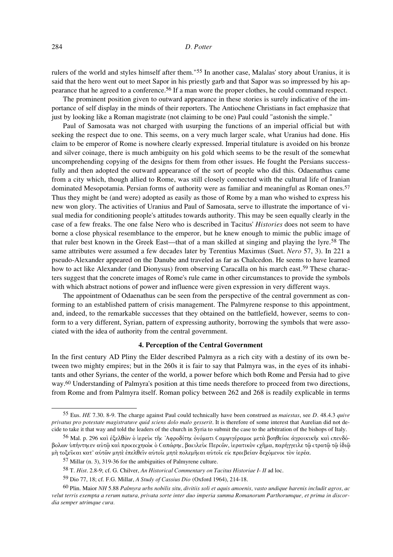rulers of the world and styles himself after them."55 In another case, Malalas' story about Uranius, it is said that the hero went out to meet Sapor in his priestly garb and that Sapor was so impressed by his appearance that he agreed to a conference.56 If a man wore the proper clothes, he could command respect.

The prominent position given to outward appearance in these stories is surely indicative of the importance of self display in the minds of their reporters. The Antiochene Christians in fact emphasize that just by looking like a Roman magistrate (not claiming to be one) Paul could "astonish the simple."

Paul of Samosata was not charged with usurping the functions of an imperial official but with seeking the respect due to one. This seems, on a very much larger scale, what Uranius had done. His claim to be emperor of Rome is nowhere clearly expressed. Imperial titulature is avoided on his bronze and silver coinage, there is much ambiguity on his gold which seems to be the result of the somewhat uncomprehending copying of the designs for them from other issues. He fought the Persians successfully and then adopted the outward appearance of the sort of people who did this. Odaenathus came from a city which, though allied to Rome, was still closely connected with the cultural life of Iranian dominated Mesopotamia. Persian forms of authority were as familiar and meaningful as Roman ones.<sup>57</sup> Thus they might be (and were) adopted as easily as those of Rome by a man who wished to express his new won glory. The activities of Uranius and Paul of Samosata, serve to illustrate the importance of visual media for conditioning people's attitudes towards authority. This may be seen equally clearly in the case of a few freaks. The one false Nero who is described in Tacitus' *Histories* does not seem to have borne a close physical resemblance to the emperor, but he knew enough to mimic the public image of that ruler best known in the Greek East—that of a man skilled at singing and playing the lyre.58 The same attributes were assumed a few decades later by Terentius Maximus (Suet. *Nero* 57, 3). In 221 a pseudo-Alexander appeared on the Danube and traveled as far as Chalcedon. He seems to have learned how to act like Alexander (and Dionysus) from observing Caracalla on his march east.<sup>59</sup> These characters suggest that the concrete images of Rome's rule came in other circumstances to provide the symbols with which abstract notions of power and influence were given expression in very different ways.

The appointment of Odaenathus can be seen from the perspective of the central government as conforming to an established pattern of crisis management. The Palmyrene response to this appointment, and, indeed, to the remarkable successes that they obtained on the battlefield, however, seems to conform to a very different, Syrian, pattern of expressing authority, borrowing the symbols that were associated with the idea of authority from the central government.

### **4. Perception of the Central Government**

In the first century AD Pliny the Elder described Palmyra as a rich city with a destiny of its own between two mighty empires; but in the 260s it is fair to say that Palmyra was, in the eyes of its inhabitants and other Syrians, the center of the world, a power before which both Rome and Persia had to give way.60 Understanding of Palmyra's position at this time needs therefore to proceed from two directions, from Rome and from Palmyra itself. Roman policy between 262 and 268 is readily explicable in terms

<sup>55</sup> Eus. *HE* 7.30. 8-9. The charge against Paul could technically have been construed as *maiestas*, see *D*. 48.4.3 *quive privatus pro potestate magistratuve quid sciens dolo malo gesserit*. It is therefore of some interest that Aurelian did not decide to take it that way and told the leaders of the church in Syria to submit the case to the arbitration of the bishops of Italy.

<sup>&</sup>lt;sup>56</sup> Mal. p. 296 καὶ ἐξελθὼν ὁ ἱερεὺς τῆς 'Αφροδίτης ὀνόματι Cαμψιγέραμος μετὰ βοηθείας ἀγροικικῆς καὶ ςπενδόβολων υπήντης εν αυτώ και προςεςχηκὼς ο Cαπώρης, βαςιλεύς Περςῶν, ιερατικὸν ςχῆμα, παρήγγειλε τῷ ςτρατῷ τῷ ιδιῷ μὴ τοξεῦςαι κατ' αὐτῶν μητὲ ἐπελθεῖν αὐτοῖς μητὲ πολεμῆςαι αὐτοῖς εἰς πρεςβείαν δεγόμενος τὸν ἰερέα.

<sup>57</sup> Millar (n. 3), 319-36 for the ambiguities of Palmyrene culture.

<sup>58</sup> T. *Hist*. 2.8-9; cf. G. Chilver, *An Historical Commentary on Tacitus Historiae I- II* ad loc.

<sup>59</sup> Dio 77, 18; cf. F.G. Millar, *A Study of Cassius Dio* (Oxford 1964), 214-18.

<sup>60</sup> Plin. Maior *NH* 5.88 *Palmyra urbs nobilis situ, divitiis soli et aquis amoenis, vasto undique harenis includit agros, ac velut terris exempta a rerum natura, privata sorte inter duo imperia summa Romanorum Parthorumque, et prima in discordia semper utrimque cura.*